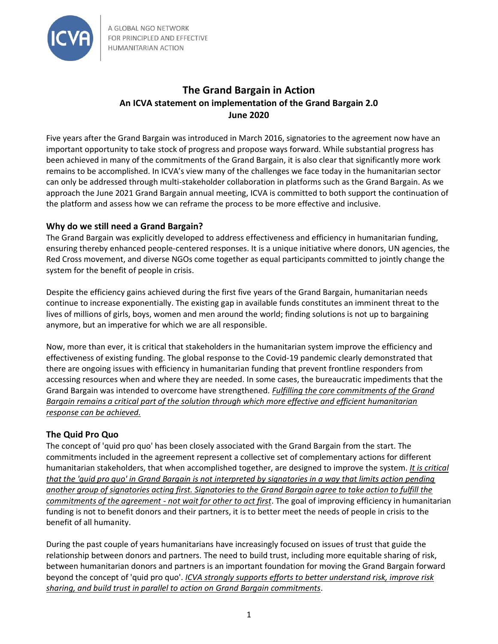

A GLOBAL NGO NETWORK FOR PRINCIPLED AND EFFECTIVE **HUMANITARIAN ACTION** 

# **The Grand Bargain in Action An ICVA statement on implementation of the Grand Bargain 2.0 June 2020**

Five years after the Grand Bargain was introduced in March 2016, signatories to the agreement now have an important opportunity to take stock of progress and propose ways forward. While substantial progress has been achieved in many of the commitments of the Grand Bargain, it is also clear that significantly more work remains to be accomplished. In ICVA's view many of the challenges we face today in the humanitarian sector can only be addressed through multi-stakeholder collaboration in platforms such as the Grand Bargain. As we approach the June 2021 Grand Bargain annual meeting, ICVA is committed to both support the continuation of the platform and assess how we can reframe the process to be more effective and inclusive.

### **Why do we still need a Grand Bargain?**

The Grand Bargain was explicitly developed to address effectiveness and efficiency in humanitarian funding, ensuring thereby enhanced people-centered responses. It is a unique initiative where donors, UN agencies, the Red Cross movement, and diverse NGOs come together as equal participants committed to jointly change the system for the benefit of people in crisis.

Despite the efficiency gains achieved during the first five years of the Grand Bargain, humanitarian needs continue to increase exponentially. The existing gap in available funds constitutes an imminent threat to the lives of millions of girls, boys, women and men around the world; finding solutions is not up to bargaining anymore, but an imperative for which we are all responsible.

Now, more than ever, it is critical that stakeholders in the humanitarian system improve the efficiency and effectiveness of existing funding. The global response to the Covid-19 pandemic clearly demonstrated that there are ongoing issues with efficiency in humanitarian funding that prevent frontline responders from accessing resources when and where they are needed. In some cases, the bureaucratic impediments that the Grand Bargain was intended to overcome have strengthened. *Fulfilling the core commitments of the Grand Bargain remains a critical part of the solution through which more effective and efficient humanitarian response can be achieved.*

#### **The Quid Pro Quo**

The concept of 'quid pro quo' has been closely associated with the Grand Bargain from the start. The commitments included in the agreement represent a collective set of complementary actions for different humanitarian stakeholders, that when accomplished together, are designed to improve the system. *It is critical that the 'quid pro quo' in Grand Bargain is not interpreted by signatories in a way that limits action pending another group of signatories acting first. Signatories to the Grand Bargain agree to take action to fulfill the commitments of the agreement - not wait for other to act first*. The goal of improving efficiency in humanitarian funding is not to benefit donors and their partners, it is to better meet the needs of people in crisis to the benefit of all humanity.

During the past couple of years humanitarians have increasingly focused on issues of trust that guide the relationship between donors and partners. The need to build trust, including more equitable sharing of risk, between humanitarian donors and partners is an important foundation for moving the Grand Bargain forward beyond the concept of 'quid pro quo'. *ICVA strongly supports efforts to better understand risk, improve risk sharing, and build trust in parallel to action on Grand Bargain commitments*.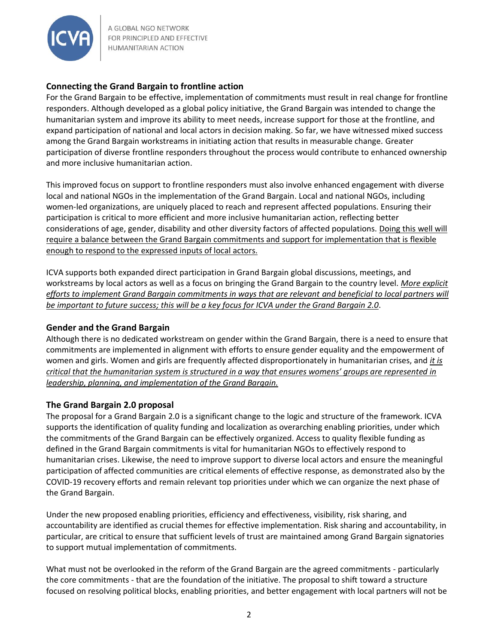

A GLOBAL NGO NETWORK FOR PRINCIPLED AND EFFECTIVE **HUMANITARIAN ACTION** 

## **Connecting the Grand Bargain to frontline action**

For the Grand Bargain to be effective, implementation of commitments must result in real change for frontline responders. Although developed as a global policy initiative, the Grand Bargain was intended to change the humanitarian system and improve its ability to meet needs, increase support for those at the frontline, and expand participation of national and local actors in decision making. So far, we have witnessed mixed success among the Grand Bargain workstreams in initiating action that results in measurable change. Greater participation of diverse frontline responders throughout the process would contribute to enhanced ownership and more inclusive humanitarian action.

This improved focus on support to frontline responders must also involve enhanced engagement with diverse local and national NGOs in the implementation of the Grand Bargain. Local and national NGOs, including women-led organizations, are uniquely placed to reach and represent affected populations. Ensuring their participation is critical to more efficient and more inclusive humanitarian action, reflecting better considerations of age, gender, disability and other diversity factors of affected populations. Doing this well will require a balance between the Grand Bargain commitments and support for implementation that is flexible enough to respond to the expressed inputs of local actors.

ICVA supports both expanded direct participation in Grand Bargain global discussions, meetings, and workstreams by local actors as well as a focus on bringing the Grand Bargain to the country level. *More explicit efforts to implement Grand Bargain commitments in ways that are relevant and beneficial to local partners will be important to future success; this will be a key focus for ICVA under the Grand Bargain 2.0*.

#### **Gender and the Grand Bargain**

Although there is no dedicated workstream on gender within the Grand Bargain, there is a need to ensure that commitments are implemented in alignment with efforts to ensure gender equality and the empowerment of women and girls. Women and girls are frequently affected disproportionately in humanitarian crises, and *it is critical that the humanitarian system is structured in a way that ensures womens' groups are represented in leadership, planning, and implementation of the Grand Bargain.*

#### **The Grand Bargain 2.0 proposal**

The proposal for a Grand Bargain 2.0 is a significant change to the logic and structure of the framework. ICVA supports the identification of quality funding and localization as overarching enabling priorities, under which the commitments of the Grand Bargain can be effectively organized. Access to quality flexible funding as defined in the Grand Bargain commitments is vital for humanitarian NGOs to effectively respond to humanitarian crises. Likewise, the need to improve support to diverse local actors and ensure the meaningful participation of affected communities are critical elements of effective response, as demonstrated also by the COVID-19 recovery efforts and remain relevant top priorities under which we can organize the next phase of the Grand Bargain.

Under the new proposed enabling priorities, efficiency and effectiveness, visibility, risk sharing, and accountability are identified as crucial themes for effective implementation. Risk sharing and accountability, in particular, are critical to ensure that sufficient levels of trust are maintained among Grand Bargain signatories to support mutual implementation of commitments.

What must not be overlooked in the reform of the Grand Bargain are the agreed commitments - particularly the core commitments - that are the foundation of the initiative. The proposal to shift toward a structure focused on resolving political blocks, enabling priorities, and better engagement with local partners will not be